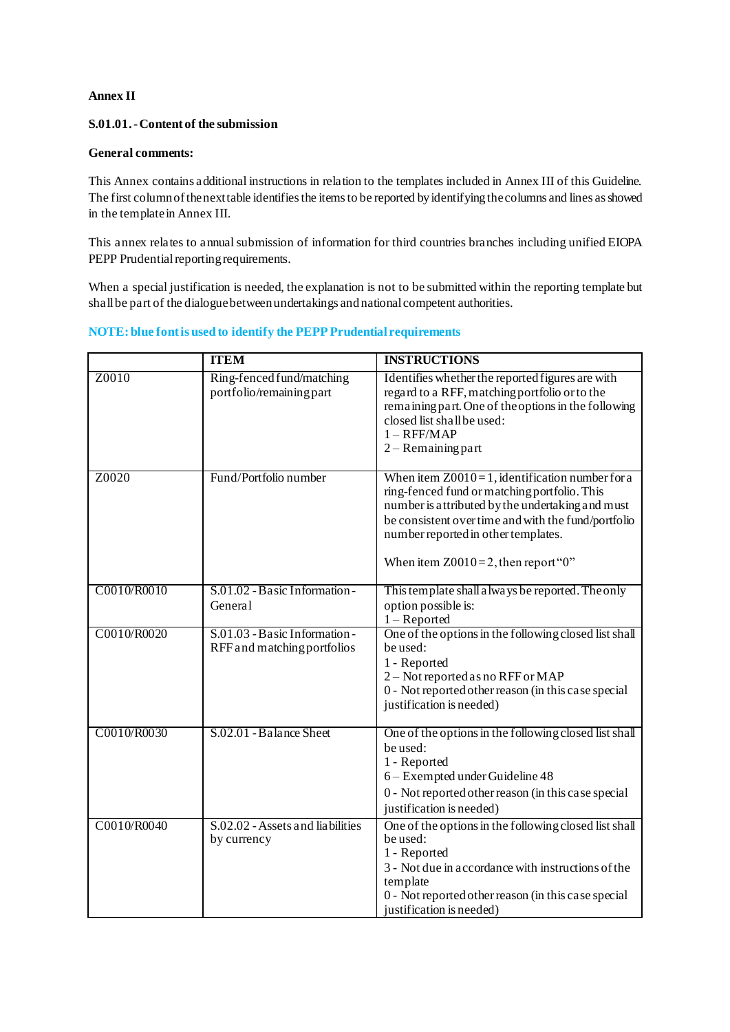## **Annex II**

## **S.01.01.-Content of the submission**

## **General comments:**

This Annex contains additional instructions in relation to the templates included in Annex III of this Guideline. The first column of the next table identifies the items to be reported by identifying the columns and lines as showed in the template in Annex III.

This annex relates to annual submission of information for third countries branches including unified EIOPA PEPP Prudential reporting requirements.

When a special justification is needed, the explanation is not to be submitted within the reporting template but shall be part of the dialogue between undertakings and national competent authorities.

## **NOTE: blue font is used to identify the PEPP Prudential requirements**

|             | <b>ITEM</b>                                                  | <b>INSTRUCTIONS</b>                                                                                                                                                                                                                                                                            |
|-------------|--------------------------------------------------------------|------------------------------------------------------------------------------------------------------------------------------------------------------------------------------------------------------------------------------------------------------------------------------------------------|
| Z0010       | Ring-fenced fund/matching<br>portfolio/remaining part        | Identifies whether the reported figures are with<br>regard to a RFF, matching portfolio or to the<br>remaining part. One of the options in the following<br>closed list shall be used:<br>$1 - RFF/MAP$<br>$2 -$ Remaining part                                                                |
| Z0020       | Fund/Portfolio number                                        | When item $Z0010 = 1$ , identification number for a<br>ring-fenced fund or matching portfolio. This<br>number is attributed by the undertaking and must<br>be consistent over time and with the fund/portfolio<br>number reported in other templates.<br>When item $Z0010=2$ , then report "0" |
| C0010/R0010 | S.01.02 - Basic Information -<br>General                     | This template shall a lways be reported. The only<br>option possible is:<br>$1 -$ Reported                                                                                                                                                                                                     |
| C0010/R0020 | S.01.03 - Basic Information -<br>RFF and matching portfolios | One of the options in the following closed list shall<br>be used:<br>1 - Reported<br>2 - Not reported as no RFF or MAP<br>0 - Not reported other reason (in this case special<br>justification is needed)                                                                                      |
| C0010/R0030 | S.02.01 - Balance Sheet                                      | One of the options in the following closed list shall<br>be used:<br>1 - Reported<br>6 - Exempted under Guideline 48<br>0 - Not reported other reason (in this case special<br>justification is needed)                                                                                        |
| C0010/R0040 | S.02.02 - Assets and liabilities<br>by currency              | One of the options in the following closed list shall<br>be used:<br>1 - Reported<br>3 - Not due in accordance with instructions of the<br>template<br>0 - Not reported other reason (in this case special<br>justification is needed)                                                         |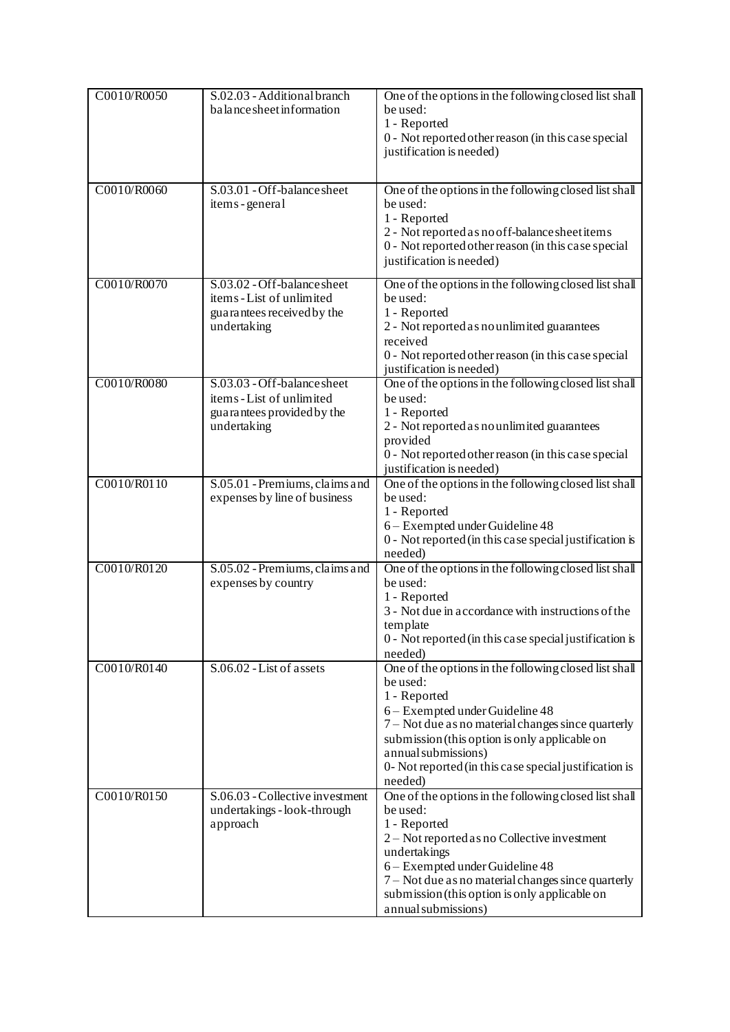| C0010/R0050 | S.02.03 - Additional branch<br>balance sheet information                                              | One of the options in the following closed list shall<br>be used:<br>1 - Reported<br>0 - Not reported other reason (in this case special<br>justification is needed)                                                                                                                                                    |
|-------------|-------------------------------------------------------------------------------------------------------|-------------------------------------------------------------------------------------------------------------------------------------------------------------------------------------------------------------------------------------------------------------------------------------------------------------------------|
| C0010/R0060 | S.03.01 - Off-balance sheet<br>items - general                                                        | One of the options in the following closed list shall<br>be used:<br>1 - Reported<br>2 - Not reported as no off-balance sheet items<br>0 - Not reported other reason (in this case special<br>justification is needed)                                                                                                  |
| C0010/R0070 | S.03.02 - Off-balance sheet<br>items - List of unlimited<br>guarantees received by the<br>undertaking | One of the options in the following closed list shall<br>be used:<br>1 - Reported<br>2 - Not reported as no unlimited guarantees<br>received<br>0 - Not reported other reason (in this case special<br>justification is needed)                                                                                         |
| C0010/R0080 | S.03.03 - Off-balance sheet<br>items - List of unlimited<br>guarantees provided by the<br>undertaking | One of the options in the following closed list shall<br>be used:<br>1 - Reported<br>2 - Not reported as no unlimited guarantees<br>provided<br>0 - Not reported other reason (in this case special<br>justification is needed)                                                                                         |
| C0010/R0110 | S.05.01 - Premiums, claims and<br>expenses by line of business                                        | One of the options in the following closed list shall<br>be used:<br>1 - Reported<br>6 - Exempted under Guideline 48<br>0 - Not reported (in this case special justification is<br>needed)                                                                                                                              |
| C0010/R0120 | S.05.02 - Premiums, claims and<br>expenses by country                                                 | One of the options in the following closed list shall<br>be used:<br>1 - Reported<br>3 - Not due in accordance with instructions of the<br>template<br>0 - Not reported (in this case special justification is<br>needed)                                                                                               |
| C0010/R0140 | S.06.02 - List of assets                                                                              | One of the options in the following closed list shall<br>be used:<br>1 - Reported<br>6 - Exempted under Guideline 48<br>7 – Not due as no material changes since quarterly<br>submission (this option is only applicable on<br>annual submissions)<br>0- Not reported (in this case special justification is<br>needed) |
| C0010/R0150 | S.06.03 - Collective investment<br>undertakings - look-through<br>approach                            | One of the options in the following closed list shall<br>be used:<br>1 - Reported<br>2 – Not reported as no Collective investment<br>undertakings<br>6 - Exempted under Guideline 48<br>7 - Not due as no material changes since quarterly<br>submission (this option is only applicable on<br>annual submissions)      |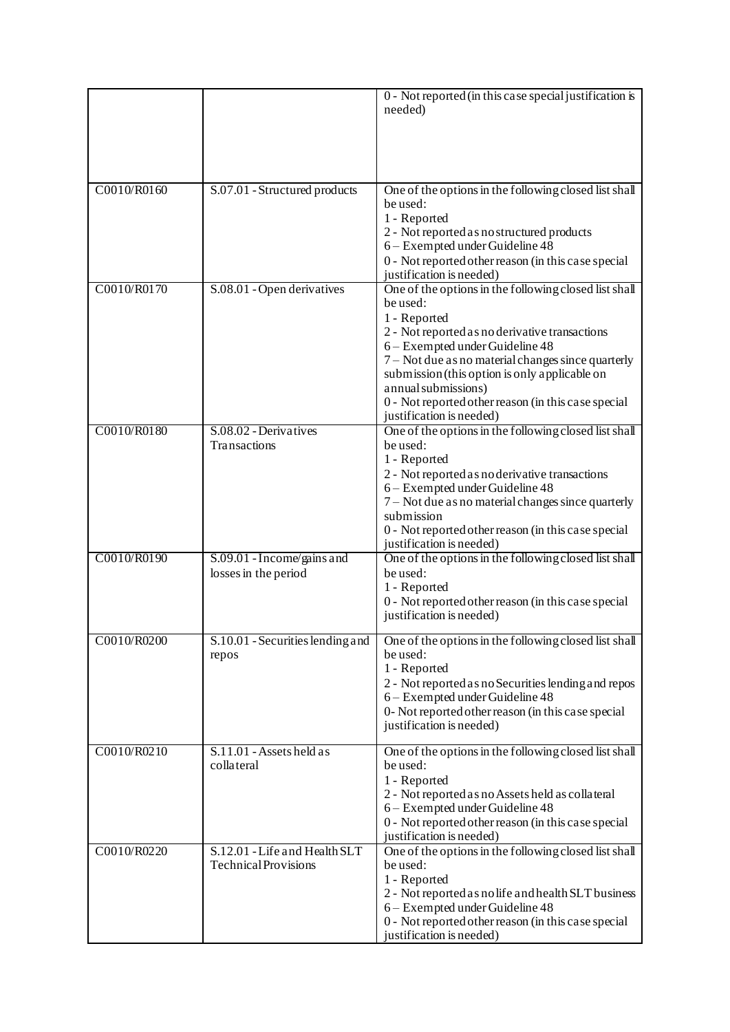|             |                                                              | 0 - Not reported (in this case special justification is<br>needed)                     |
|-------------|--------------------------------------------------------------|----------------------------------------------------------------------------------------|
|             |                                                              |                                                                                        |
|             |                                                              |                                                                                        |
| C0010/R0160 | S.07.01 - Structured products                                | One of the options in the following closed list shall<br>be used:                      |
|             |                                                              | 1 - Reported                                                                           |
|             |                                                              | 2 - Not reported as no structured products<br>6 - Exempted under Guideline 48          |
|             |                                                              | 0 - Not reported other reason (in this case special                                    |
|             |                                                              | justification is needed)                                                               |
| C0010/R0170 | S.08.01 - Open derivatives                                   | One of the options in the following closed list shall<br>be used:                      |
|             |                                                              | 1 - Reported                                                                           |
|             |                                                              | 2 - Not reported as no derivative transactions                                         |
|             |                                                              | 6 - Exempted under Guideline 48<br>7 – Not due as no material changes since quarterly  |
|             |                                                              | submission (this option is only applicable on                                          |
|             |                                                              | annual submissions)                                                                    |
|             |                                                              | 0 - Not reported other reason (in this case special<br>justification is needed)        |
| C0010/R0180 | S.08.02 - Derivatives                                        | One of the options in the following closed list shall                                  |
|             | Transactions                                                 | be used:<br>1 - Reported                                                               |
|             |                                                              | 2 - Not reported as no derivative transactions                                         |
|             |                                                              | 6 - Exempted under Guideline 48                                                        |
|             |                                                              | 7 – Not due as no material changes since quarterly<br>submission                       |
|             |                                                              | 0 - Not reported other reason (in this case special                                    |
|             |                                                              | justification is needed)                                                               |
| C0010/R0190 | S.09.01 - Income/gains and<br>losses in the period           | One of the options in the following closed list shall<br>be used:                      |
|             |                                                              | 1 - Reported<br>0 - Not reported other reason (in this case special                    |
|             |                                                              | justification is needed)                                                               |
| C0010/R0200 | S.10.01 - Securities lending and<br>repos                    | One of the options in the following closed list shall<br>be used:                      |
|             |                                                              | 1 - Reported                                                                           |
|             |                                                              | 2 - Not reported as no Securities lending and repos<br>6 - Exempted under Guideline 48 |
|             |                                                              | 0- Not reported other reason (in this case special                                     |
|             |                                                              | justification is needed)                                                               |
| C0010/R0210 | S.11.01 - Assets held as<br>collateral                       | One of the options in the following closed list shall<br>be used:                      |
|             |                                                              | 1 - Reported                                                                           |
|             |                                                              | 2 - Not reported as no Assets held as collateral<br>6 - Exempted under Guideline 48    |
|             |                                                              | 0 - Not reported other reason (in this case special                                    |
|             |                                                              | justification is needed)                                                               |
| C0010/R0220 | S.12.01 - Life and Health SLT<br><b>Technical Provisions</b> | One of the options in the following closed list shall<br>be used:                      |
|             |                                                              | 1 - Reported                                                                           |
|             |                                                              | 2 - Not reported as no life and health SLT business                                    |
|             |                                                              | 6 - Exempted under Guideline 48<br>0 - Not reported other reason (in this case special |
|             |                                                              | justification is needed)                                                               |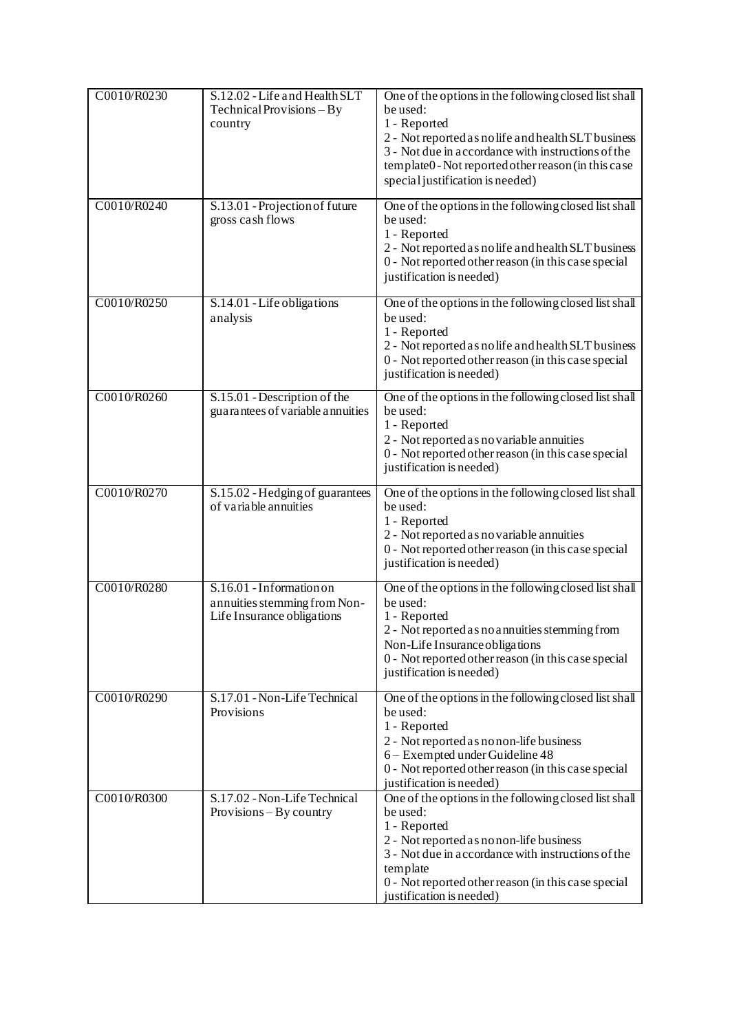| C0010/R0230 | S.12.02 - Life and Health SLT<br>$Technical Provisions - By$<br>country                | One of the options in the following closed list shall<br>be used:<br>1 - Reported<br>2 - Not reported as no life and health SLT business<br>3 - Not due in accordance with instructions of the<br>template0 - Not reported other reason (in this case<br>special justification is needed) |
|-------------|----------------------------------------------------------------------------------------|-------------------------------------------------------------------------------------------------------------------------------------------------------------------------------------------------------------------------------------------------------------------------------------------|
| C0010/R0240 | S.13.01 - Projection of future<br>gross cash flows                                     | One of the options in the following closed list shall<br>be used:<br>1 - Reported<br>2 - Not reported as no life and health SLT business<br>0 - Not reported other reason (in this case special<br>justification is needed)                                                               |
| C0010/R0250 | S.14.01 - Life obligations<br>analysis                                                 | One of the options in the following closed list shall<br>be used:<br>1 - Reported<br>2 - Not reported as no life and health SLT business<br>0 - Not reported other reason (in this case special<br>justification is needed)                                                               |
| C0010/R0260 | S.15.01 - Description of the<br>guarantees of variable annuities                       | One of the options in the following closed list shall<br>be used:<br>1 - Reported<br>2 - Not reported as no variable annuities<br>0 - Not reported other reason (in this case special<br>justification is needed)                                                                         |
| C0010/R0270 | S.15.02 - Hedging of guarantees<br>of variable annuities                               | One of the options in the following closed list shall<br>be used:<br>1 - Reported<br>2 - Not reported as no variable annuities<br>0 - Not reported other reason (in this case special<br>justification is needed)                                                                         |
| C0010/R0280 | S.16.01 - Information on<br>annuities stemming from Non-<br>Life Insurance obligations | One of the options in the following closed list shall<br>be used:<br>1 - Reported<br>2 - Not reported as no annuities stemming from<br>Non-Life Insurance obligations<br>0 - Not reported other reason (in this case special<br>justification is needed)                                  |
| C0010/R0290 | S.17.01 - Non-Life Technical<br>Provisions                                             | One of the options in the following closed list shall<br>be used:<br>1 - Reported<br>2 - Not reported as no non-life business<br>6 - Exempted under Guideline 48<br>0 - Not reported other reason (in this case special<br>justification is needed)                                       |
| C0010/R0300 | S.17.02 - Non-Life Technical<br>$Provisions - By country$                              | One of the options in the following closed list shall<br>be used:<br>1 - Reported<br>2 - Not reported as no non-life business<br>3 - Not due in accordance with instructions of the<br>template<br>0 - Not reported other reason (in this case special<br>justification is needed)        |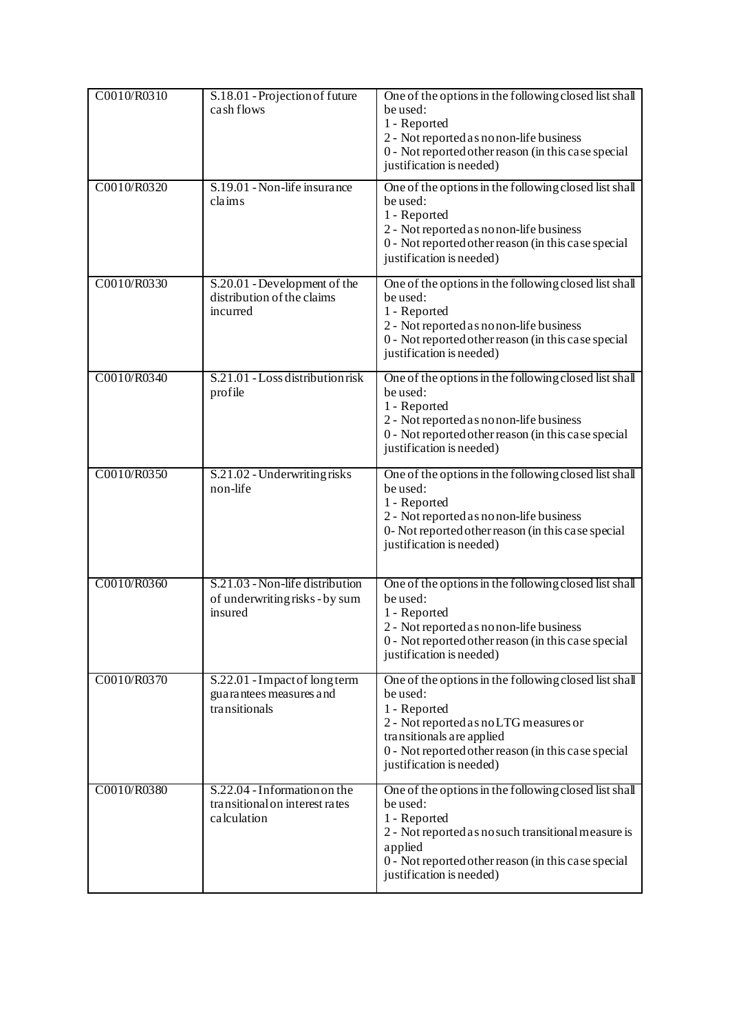| C0010/R0310 | S.18.01 - Projection of future<br>cash flows                                  | One of the options in the following closed list shall<br>be used:<br>1 - Reported<br>2 - Not reported as no non-life business<br>0 - Not reported other reason (in this case special<br>justification is needed)                            |
|-------------|-------------------------------------------------------------------------------|---------------------------------------------------------------------------------------------------------------------------------------------------------------------------------------------------------------------------------------------|
| C0010/R0320 | S.19.01 - Non-life insurance<br>claims                                        | One of the options in the following closed list shall<br>be used:<br>1 - Reported<br>2 - Not reported as no non-life business<br>0 - Not reported other reason (in this case special<br>justification is needed)                            |
| C0010/R0330 | S.20.01 - Development of the<br>distribution of the claims<br>incurred        | One of the options in the following closed list shall<br>be used:<br>1 - Reported<br>2 - Not reported as no non-life business<br>0 - Not reported other reason (in this case special<br>justification is needed)                            |
| C0010/R0340 | S.21.01 - Loss distribution risk<br>profile                                   | One of the options in the following closed list shall<br>be used:<br>1 - Reported<br>2 - Not reported as no non-life business<br>0 - Not reported other reason (in this case special<br>justification is needed)                            |
| C0010/R0350 | S.21.02 - Underwriting risks<br>non-life                                      | One of the options in the following closed list shall<br>be used:<br>1 - Reported<br>2 - Not reported as no non-life business<br>0- Not reported other reason (in this case special<br>justification is needed)                             |
| C0010/R0360 | S.21.03 - Non-life distribution<br>of underwriting risks - by sum<br>insured  | One of the options in the following closed list shall<br>be used:<br>1 - Reported<br>2 - Not reported as no non-life business<br>0 - Not reported other reason (in this case special<br>justification is needed)                            |
| C0010/R0370 | S.22.01 - Impact of long term<br>guarantees measures and<br>transitionals     | One of the options in the following closed list shall<br>be used:<br>1 - Reported<br>2 - Not reported as no LTG measures or<br>transitionals are applied<br>0 - Not reported other reason (in this case special<br>justification is needed) |
| C0010/R0380 | S.22.04 - Information on the<br>transitional on interest rates<br>calculation | One of the options in the following closed list shall<br>be used:<br>1 - Reported<br>2 - Not reported as no such transitional measure is<br>applied<br>0 - Not reported other reason (in this case special<br>justification is needed)      |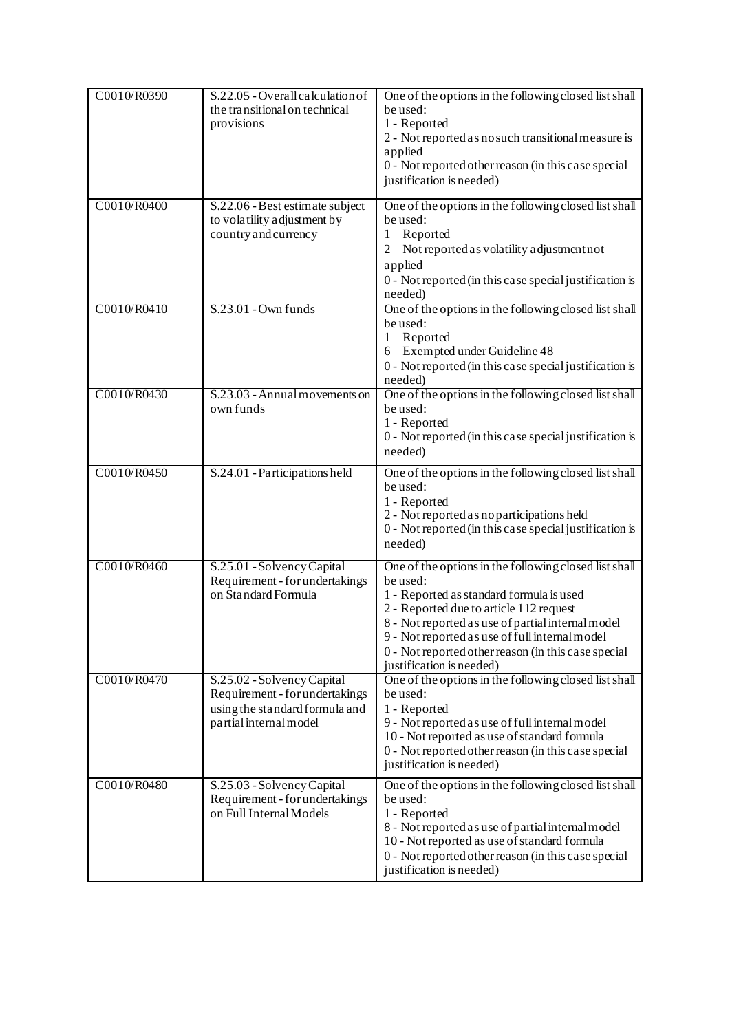| C0010/R0390 | S.22.05 - Overall calculation of<br>the transitional on technical<br>provisions                                          | One of the options in the following closed list shall<br>be used:<br>1 - Reported<br>2 - Not reported as no such transitional measure is<br>applied<br>0 - Not reported other reason (in this case special<br>justification is needed)                                                                                                             |
|-------------|--------------------------------------------------------------------------------------------------------------------------|----------------------------------------------------------------------------------------------------------------------------------------------------------------------------------------------------------------------------------------------------------------------------------------------------------------------------------------------------|
| C0010/R0400 | S.22.06 - Best estimate subject<br>to volatility adjustment by<br>country and currency                                   | One of the options in the following closed list shall<br>be used:<br>$1 -$ Reported<br>2 - Not reported as volatility adjustment not<br>applied<br>0 - Not reported (in this case special justification is<br>needed)                                                                                                                              |
| C0010/R0410 | S.23.01 - Own funds                                                                                                      | One of the options in the following closed list shall<br>be used:<br>$1 -$ Reported<br>6 - Exempted under Guideline 48<br>0 - Not reported (in this case special justification is<br>needed)                                                                                                                                                       |
| C0010/R0430 | S.23.03 - Annual movements on<br>own funds                                                                               | One of the options in the following closed list shall<br>be used:<br>1 - Reported<br>0 - Not reported (in this case special justification is<br>needed)                                                                                                                                                                                            |
| C0010/R0450 | S.24.01 - Participations held                                                                                            | One of the options in the following closed list shall<br>be used:<br>1 - Reported<br>2 - Not reported as no participations held<br>0 - Not reported (in this case special justification is<br>needed)                                                                                                                                              |
| C0010/R0460 | S.25.01 - Solvency Capital<br>Requirement - for undertakings<br>on Standard Formula                                      | One of the options in the following closed list shall<br>be used:<br>1 - Reported as standard formula is used<br>2 - Reported due to article 112 request<br>8 - Not reported as use of partial internal model<br>9 - Not reported as use of full internal model<br>0 - Not reported other reason (in this case special<br>justification is needed) |
| C0010/R0470 | S.25.02 - Solvency Capital<br>Requirement - for undertakings<br>using the standard formula and<br>partial internal model | One of the options in the following closed list shall<br>be used:<br>1 - Reported<br>9 - Not reported as use of full internal model<br>10 - Not reported as use of standard formula<br>0 - Not reported other reason (in this case special<br>justification is needed)                                                                             |
| C0010/R0480 | S.25.03 - Solvency Capital<br>Requirement - for undertakings<br>on Full Internal Models                                  | One of the options in the following closed list shall<br>be used:<br>1 - Reported<br>8 - Not reported as use of partial internal model<br>10 - Not reported as use of standard formula<br>0 - Not reported other reason (in this case special<br>justification is needed)                                                                          |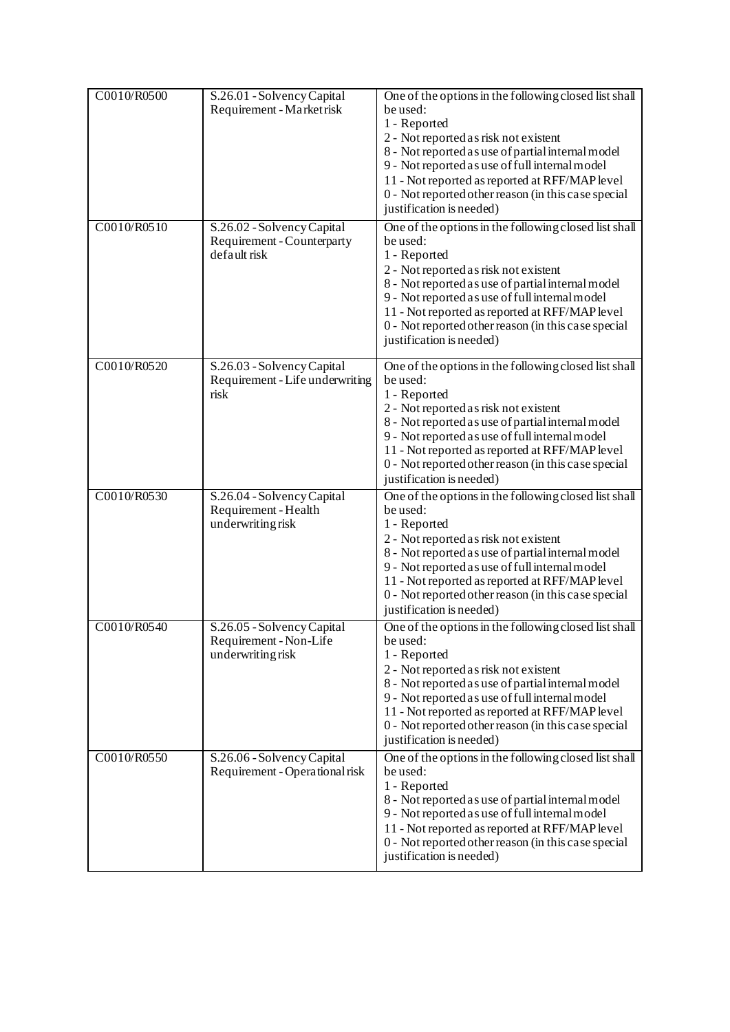| C0010/R0500<br>C0010/R0510 | S.26.01 - Solvency Capital<br>Requirement - Market risk<br>S.26.02 - Solvency Capital<br>Requirement - Counterparty<br>default risk | One of the options in the following closed list shall<br>be used:<br>1 - Reported<br>2 - Not reported as risk not existent<br>8 - Not reported as use of partial internal model<br>9 - Not reported as use of full internal model<br>11 - Not reported as reported at RFF/MAP level<br>0 - Not reported other reason (in this case special<br>justification is needed)<br>One of the options in the following closed list shall<br>be used:<br>1 - Reported<br>2 - Not reported as risk not existent<br>8 - Not reported as use of partial internal model<br>9 - Not reported as use of full internal model<br>11 - Not reported as reported at RFF/MAP level<br>0 - Not reported other reason (in this case special<br>justification is needed) |
|----------------------------|-------------------------------------------------------------------------------------------------------------------------------------|--------------------------------------------------------------------------------------------------------------------------------------------------------------------------------------------------------------------------------------------------------------------------------------------------------------------------------------------------------------------------------------------------------------------------------------------------------------------------------------------------------------------------------------------------------------------------------------------------------------------------------------------------------------------------------------------------------------------------------------------------|
| C0010/R0520                | S.26.03 - Solvency Capital<br>Requirement - Life underwriting<br>risk                                                               | One of the options in the following closed list shall<br>be used:<br>1 - Reported<br>2 - Not reported as risk not existent<br>8 - Not reported as use of partial internal model<br>9 - Not reported as use of full internal model<br>11 - Not reported as reported at RFF/MAP level<br>0 - Not reported other reason (in this case special<br>justification is needed)                                                                                                                                                                                                                                                                                                                                                                           |
| C0010/R0530                | S.26.04 - Solvency Capital<br>Requirement - Health<br>underwriting risk                                                             | One of the options in the following closed list shall<br>be used:<br>1 - Reported<br>2 - Not reported as risk not existent<br>8 - Not reported as use of partial internal model<br>9 - Not reported as use of full internal model<br>11 - Not reported as reported at RFF/MAP level<br>0 - Not reported other reason (in this case special<br>justification is needed)                                                                                                                                                                                                                                                                                                                                                                           |
| C0010/R0540                | S.26.05 - Solvency Capital<br>Requirement - Non-Life<br>underwriting risk                                                           | One of the options in the following closed list shall<br>be used:<br>1 - Reported<br>2 - Not reported as risk not existent<br>8 - Not reported as use of partial internal model<br>9 - Not reported as use of full internal model<br>11 - Not reported as reported at RFF/MAP level<br>0 - Not reported other reason (in this case special<br>justification is needed)                                                                                                                                                                                                                                                                                                                                                                           |
| C0010/R0550                | S.26.06 - Solvency Capital<br>Requirement - Operational risk                                                                        | One of the options in the following closed list shall<br>be used:<br>1 - Reported<br>8 - Not reported as use of partial internal model<br>9 - Not reported as use of full internal model<br>11 - Not reported as reported at RFF/MAP level<br>0 - Not reported other reason (in this case special<br>justification is needed)                                                                                                                                                                                                                                                                                                                                                                                                                    |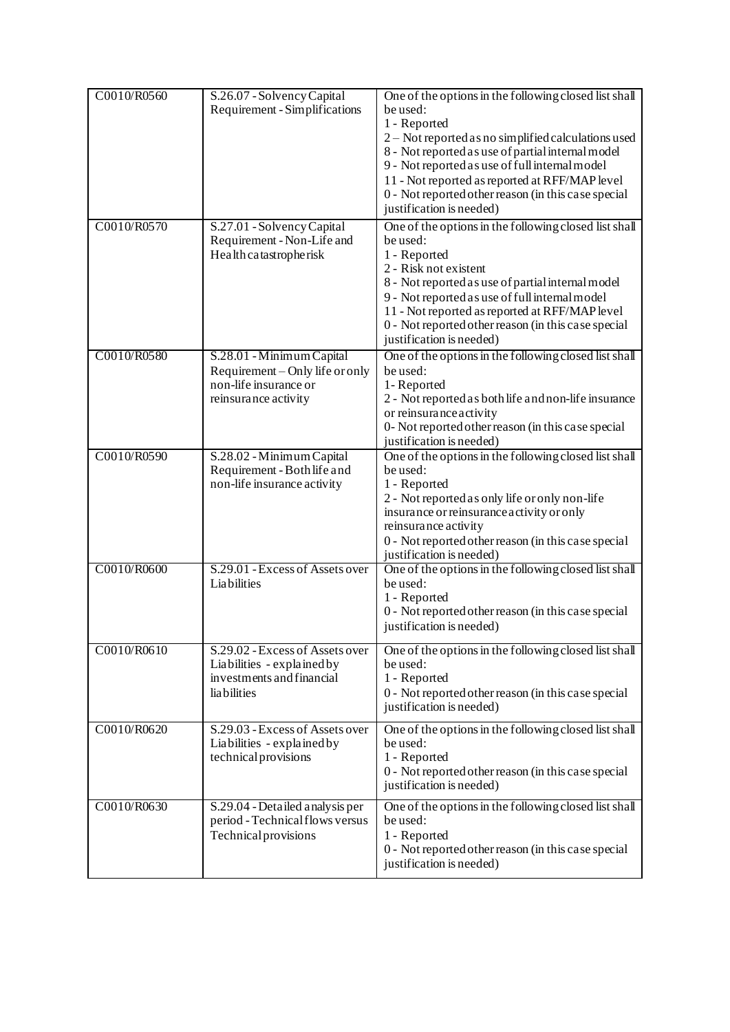| C0010/R0560<br>C0010/R0570 | S.26.07 - Solvency Capital<br>Requirement - Simplifications<br>S.27.01 - Solvency Capital                     | One of the options in the following closed list shall<br>be used:<br>1 - Reported<br>2 - Not reported as no simplified calculations used<br>8 - Not reported as use of partial internal model<br>9 - Not reported as use of full internal model<br>11 - Not reported as reported at RFF/MAP level<br>0 - Not reported other reason (in this case special<br>justification is needed)<br>One of the options in the following closed list shall |
|----------------------------|---------------------------------------------------------------------------------------------------------------|-----------------------------------------------------------------------------------------------------------------------------------------------------------------------------------------------------------------------------------------------------------------------------------------------------------------------------------------------------------------------------------------------------------------------------------------------|
|                            | Requirement - Non-Life and<br>Health catastropherisk                                                          | be used:<br>1 - Reported<br>2 - Risk not existent<br>8 - Not reported as use of partial internal model<br>9 - Not reported as use of full internal model<br>11 - Not reported as reported at RFF/MAP level<br>0 - Not reported other reason (in this case special<br>justification is needed)                                                                                                                                                 |
| C0010/R0580                | S.28.01 - Minimum Capital<br>Requirement – Only life or only<br>non-life insurance or<br>reinsurance activity | One of the options in the following closed list shall<br>be used:<br>1-Reported<br>2 - Not reported as both life and non-life insurance<br>or reinsurance activity<br>0- Not reported other reason (in this case special<br>justification is needed)                                                                                                                                                                                          |
| C0010/R0590                | S.28.02 - Minimum Capital<br>Requirement - Both life and<br>non-life insurance activity                       | One of the options in the following closed list shall<br>be used:<br>1 - Reported<br>2 - Not reported as only life or only non-life<br>insurance or reinsurance activity or only<br>reinsurance activity<br>0 - Not reported other reason (in this case special<br>justification is needed)                                                                                                                                                   |
| C0010/R0600                | S.29.01 - Excess of Assets over<br>Liabilities                                                                | One of the options in the following closed list shall<br>be used:<br>1 - Reported<br>0 - Not reported other reason (in this case special<br>justification is needed)                                                                                                                                                                                                                                                                          |
| C0010/R0610                | S.29.02 - Excess of Assets over<br>Liabilities - explained by<br>investments and financial<br>lia bilities    | One of the options in the following closed list shall<br>be used:<br>1 - Reported<br>0 - Not reported other reason (in this case special<br>justification is needed)                                                                                                                                                                                                                                                                          |
| C0010/R0620                | S.29.03 - Excess of Assets over<br>Liabilities - explained by<br>technical provisions                         | One of the options in the following closed list shall<br>be used:<br>1 - Reported<br>0 - Not reported other reason (in this case special<br>justification is needed)                                                                                                                                                                                                                                                                          |
| C0010/R0630                | S.29.04 - Detailed analysis per<br>period - Technical flows versus<br><b>Technical provisions</b>             | One of the options in the following closed list shall<br>be used:<br>1 - Reported<br>0 - Not reported other reason (in this case special<br>justification is needed)                                                                                                                                                                                                                                                                          |